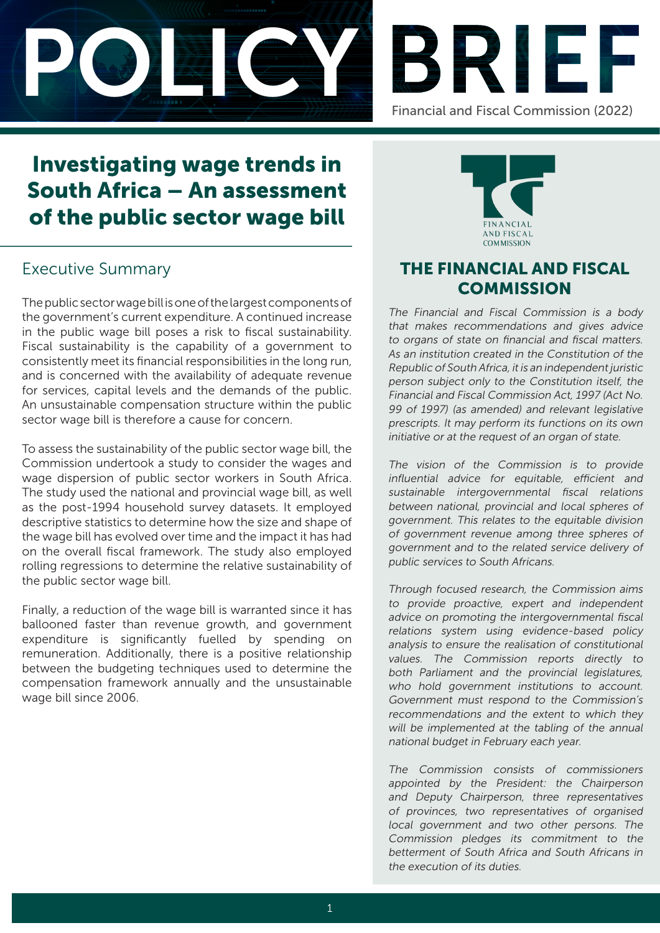



# Investigating wage trends in South Africa – An assessment of the public sector wage bill

## Executive Summary

The public sector wage bill is one of the largest components of the government's current expenditure. A continued increase in the public wage bill poses a risk to fiscal sustainability. Fiscal sustainability is the capability of a government to consistently meet its financial responsibilities in the long run, and is concerned with the availability of adequate revenue for services, capital levels and the demands of the public. An unsustainable compensation structure within the public sector wage bill is therefore a cause for concern.

To assess the sustainability of the public sector wage bill, the Commission undertook a study to consider the wages and wage dispersion of public sector workers in South Africa. The study used the national and provincial wage bill, as well as the post-1994 household survey datasets. It employed descriptive statistics to determine how the size and shape of the wage bill has evolved over time and the impact it has had on the overall fiscal framework. The study also employed rolling regressions to determine the relative sustainability of the public sector wage bill.

Finally, a reduction of the wage bill is warranted since it has ballooned faster than revenue growth, and government expenditure is significantly fuelled by spending on remuneration. Additionally, there is a positive relationship between the budgeting techniques used to determine the compensation framework annually and the unsustainable wage bill since 2006.



## THE FINANCIAL AND FISCAL **COMMISSION**

The Financial and Fiscal Commission is a body that makes recommendations and gives advice to organs of state on financial and fiscal matters. As an institution created in the Constitution of the Republic of South Africa, it is an independent juristic person subject only to the Constitution itself, the Financial and Fiscal Commission Act, 1997 (Act No. 99 of 1997) (as amended) and relevant legislative prescripts. It may perform its functions on its own initiative or at the request of an organ of state.

The vision of the Commission is to provide influential advice for equitable, efficient and sustainable intergovernmental fiscal relations between national, provincial and local spheres of government. This relates to the equitable division of government revenue among three spheres of government and to the related service delivery of public services to South Africans.

Through focused research, the Commission aims to provide proactive, expert and independent advice on promoting the intergovernmental fiscal relations system using evidence-based policy analysis to ensure the realisation of constitutional values. The Commission reports directly to both Parliament and the provincial legislatures, who hold government institutions to account. Government must respond to the Commission's recommendations and the extent to which they will be implemented at the tabling of the annual national budget in February each year.

The Commission consists of commissioners appointed by the President: the Chairperson and Deputy Chairperson, three representatives of provinces, two representatives of organised local government and two other persons. The Commission pledges its commitment to the betterment of South Africa and South Africans in the execution of its duties.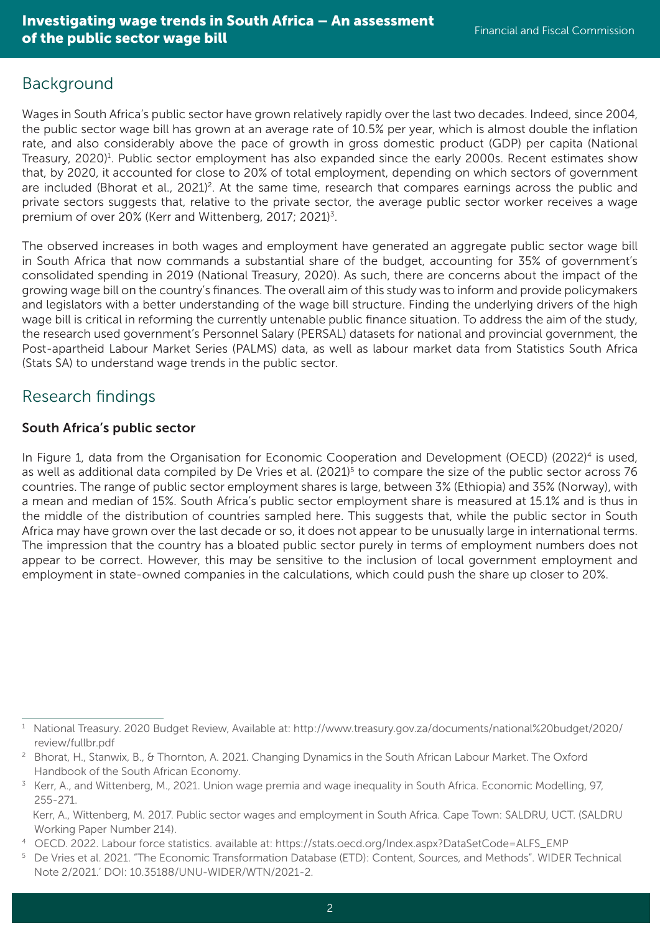## Background

Wages in South Africa's public sector have grown relatively rapidly over the last two decades. Indeed, since 2004, the public sector wage bill has grown at an average rate of 10.5% per year, which is almost double the inflation rate, and also considerably above the pace of growth in gross domestic product (GDP) per capita (National Treasury, 2020)<sup>1</sup>. Public sector employment has also expanded since the early 2000s. Recent estimates show that, by 2020, it accounted for close to 20% of total employment, depending on which sectors of government are included (Bhorat et al., 2021)<sup>2</sup>. At the same time, research that compares earnings across the public and private sectors suggests that, relative to the private sector, the average public sector worker receives a wage premium of over 20% (Kerr and Wittenberg, 2017; 2021)<sup>3</sup>.

The observed increases in both wages and employment have generated an aggregate public sector wage bill in South Africa that now commands a substantial share of the budget, accounting for 35% of government's consolidated spending in 2019 (National Treasury, 2020). As such, there are concerns about the impact of the growing wage bill on the country's finances. The overall aim of this study was to inform and provide policymakers and legislators with a better understanding of the wage bill structure. Finding the underlying drivers of the high wage bill is critical in reforming the currently untenable public finance situation. To address the aim of the study, the research used government's Personnel Salary (PERSAL) datasets for national and provincial government, the Post-apartheid Labour Market Series (PALMS) data, as well as labour market data from Statistics South Africa (Stats SA) to understand wage trends in the public sector.

## Research findings

#### South Africa's public sector

In Figure 1, data from the Organisation for Economic Cooperation and Development (OECD) (2022)<sup>4</sup> is used, as well as additional data compiled by De Vries et al. (2021)<sup>5</sup> to compare the size of the public sector across 76 countries. The range of public sector employment shares is large, between 3% (Ethiopia) and 35% (Norway), with a mean and median of 15%. South Africa's public sector employment share is measured at 15.1% and is thus in the middle of the distribution of countries sampled here. This suggests that, while the public sector in South Africa may have grown over the last decade or so, it does not appear to be unusually large in international terms. The impression that the country has a bloated public sector purely in terms of employment numbers does not appear to be correct. However, this may be sensitive to the inclusion of local government employment and employment in state-owned companies in the calculations, which could push the share up closer to 20%.

<sup>1</sup> National Treasury. 2020 Budget Review, Available at: http://www.treasury.gov.za/documents/national%20budget/2020/ review/fullbr.pdf

<sup>2</sup> Bhorat, H., Stanwix, B., & Thornton, A. 2021. Changing Dynamics in the South African Labour Market. The Oxford Handbook of the South African Economy.

<sup>3</sup> Kerr, A., and Wittenberg, M., 2021. Union wage premia and wage inequality in South Africa. Economic Modelling, 97,

<sup>255-271.</sup> Kerr, A., Wittenberg, M. 2017. Public sector wages and employment in South Africa. Cape Town: SALDRU, UCT. (SALDRU Working Paper Number 214).

<sup>4</sup> OECD. 2022. Labour force statistics. available at: https://stats.oecd.org/Index.aspx?DataSetCode=ALFS\_EMP

<sup>5</sup> De Vries et al. 2021. "The Economic Transformation Database (ETD): Content, Sources, and Methods". WIDER Technical Note 2/2021.' DOI: 10.35188/UNU-WIDER/WTN/2021-2.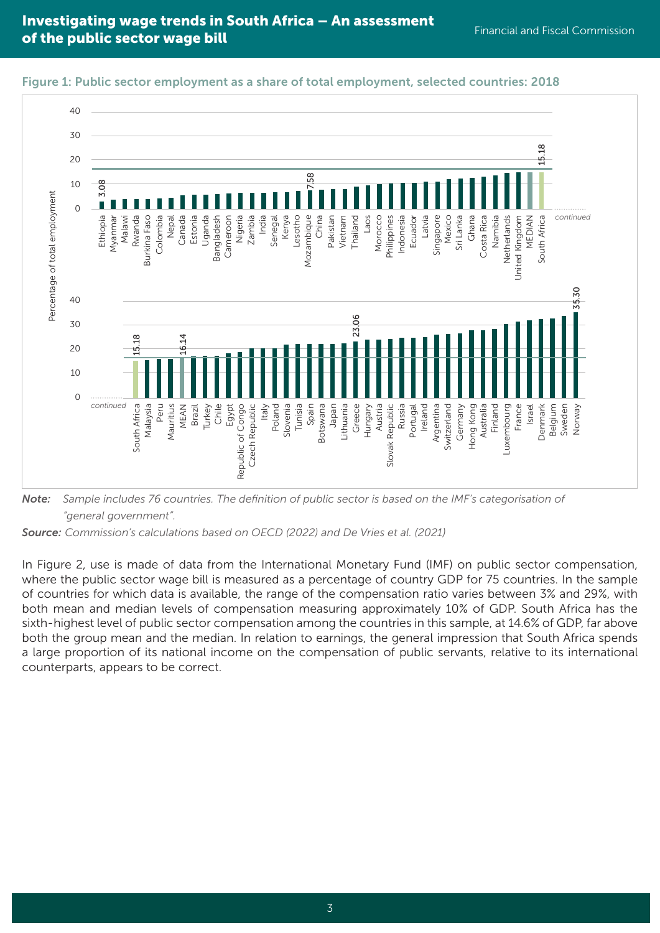



*Note: Sample includes 76 countries. The definition of public sector is based on the IMF's categorisation of "general government".* 

*Source: Commission's calculations based on OECD (2022) and De Vries et al. (2021)*

In Figure 2, use is made of data from the International Monetary Fund (IMF) on public sector compensation, where the public sector wage bill is measured as a percentage of country GDP for 75 countries. In the sample of countries for which data is available, the range of the compensation ratio varies between 3% and 29%, with both mean and median levels of compensation measuring approximately 10% of GDP. South Africa has the sixth-highest level of public sector compensation among the countries in this sample, at 14.6% of GDP, far above both the group mean and the median. In relation to earnings, the general impression that South Africa spends a large proportion of its national income on the compensation of public servants, relative to its international counterparts, appears to be correct.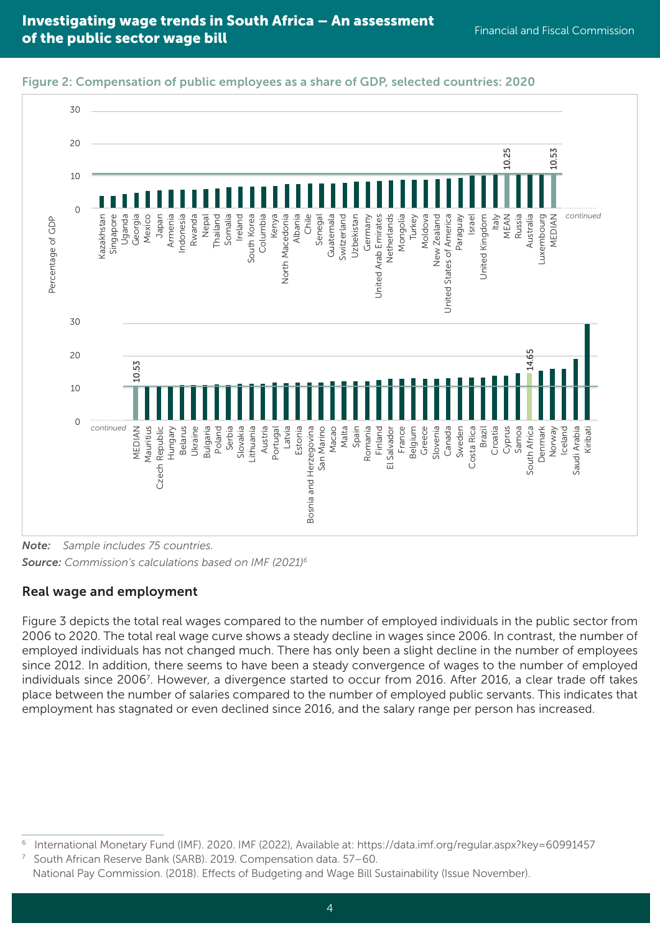20 10.53 10.25 MEAN **10.25** MEDIAN 10.53 10  $\overline{0}$ Russia *continued* Uzbekistan Uganda Nepal Columbia Kenya Uzbekistan Netherlands Mongolia New Zealand United States of America Paraguay Israel MEAN Australia Luxembourg Percentage of GDP Kazakhstan Kazakhstan Singapore Mexico Japan Armenia ndonesia Indonesia Rwanda Thailand Somalia Ireland South Korea South Korea Columbia North Macedonia North Macedonia Albania Chile Senegal Guatemala Guatemala Switzerland Switzerland Germany United Arab Emirates United Arab Emirates Netherlands Turkey Moldova New Zealand United States of America United Kingdom United Kingdom Italy Luxembourg MEDIAN Percentage of GDP Georgia  $30$ 14.65 South Africa **14.65**  $20$ 53 MEDIAN 10.53  $\overline{a}$ 10  $\Omega$ *continued* Austria Croatia Cyprus Spain Greece MEDIAN **Mauritius** Republic Bulgaria Serbia Slovakia ithuania Portugal Latvia Malta Romania Finland Salvador France Belgium Sweden Costa Rica Brazil Samoa South Africa Denmark Norway Iceland Saudi Arabia Kiribati Mauritius Czech Republic Hungary Belarus Ukraine Poland Lithuania Bosnia and Herzegovina Bosnia and Herzegovina San Marino San Marino Macao Romania El Salvador Slovenia Canada Costa Rica Denmark Saudi Arabia **Estonia** こ Czech



### Figure 2: Compensation of public employees as a share of GDP, selected countries: 2020

Real wage and employment

30

Figure 3 depicts the total real wages compared to the number of employed individuals in the public sector from 2006 to 2020. The total real wage curve shows a steady decline in wages since 2006. In contrast, the number of employed individuals has not changed much. There has only been a slight decline in the number of employees since 2012. In addition, there seems to have been a steady convergence of wages to the number of employed individuals since 2006<sup>7</sup>. However, a divergence started to occur from 2016. After 2016, a clear trade off takes place between the number of salaries compared to the number of employed public servants. This indicates that employment has stagnated or even declined since 2016, and the salary range per person has increased.

<sup>6</sup> International Monetary Fund (IMF). 2020. IMF (2022), Available at: https://data.imf.org/regular.aspx?key=60991457

<sup>7</sup> South African Reserve Bank (SARB). 2019. Compensation data. 57–60. National Pay Commission. (2018). Effects of Budgeting and Wage Bill Sustainability (Issue November).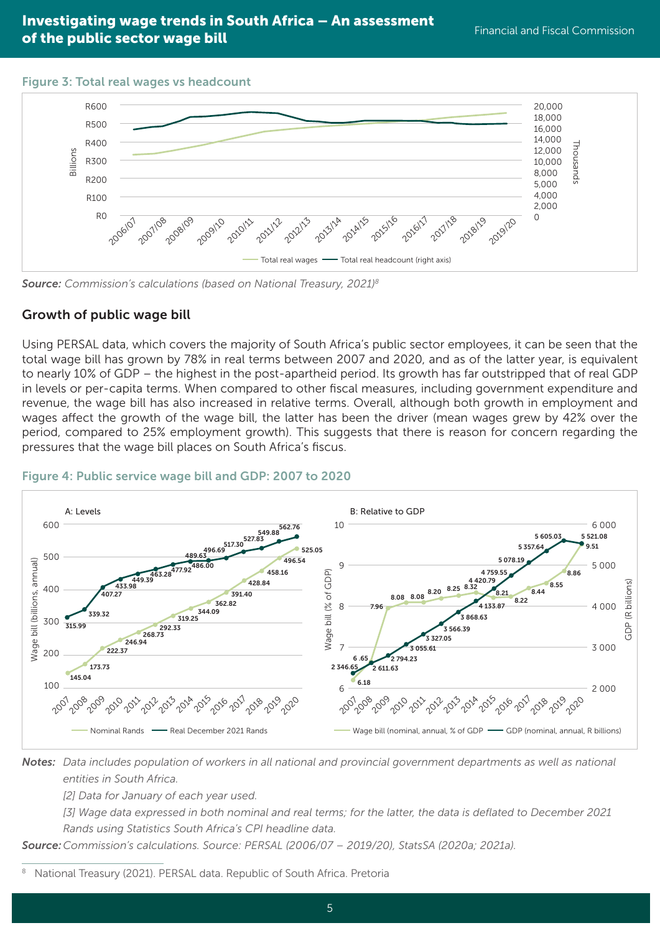#### Figure 3: Total real wages vs headcount



*Source: Commission's calculations (based on National Treasury, 2021)8*

#### Growth of public wage bill

Using PERSAL data, which covers the majority of South Africa's public sector employees, it can be seen that the total wage bill has grown by 78% in real terms between 2007 and 2020, and as of the latter year, is equivalent to nearly 10% of GDP – the highest in the post-apartheid period. Its growth has far outstripped that of real GDP in levels or per-capita terms. When compared to other fiscal measures, including government expenditure and revenue, the wage bill has also increased in relative terms. Overall, although both growth in employment and wages affect the growth of the wage bill, the latter has been the driver (mean wages grew by 42% over the period, compared to 25% employment growth). This suggests that there is reason for concern regarding the pressures that the wage bill places on South Africa's fiscus.



*Notes: Data includes population of workers in all national and provincial government departments as well as national entities in South Africa.* 

*[2] Data for January of each year used.* 

*[3] Wage data expressed in both nominal and real terms; for the latter, the data is deflated to December 2021 Rands using Statistics South Africa's CPI headline data.*

*Source:Commission's calculations. Source: PERSAL (2006/07 – 2019/20), StatsSA (2020a; 2021a).*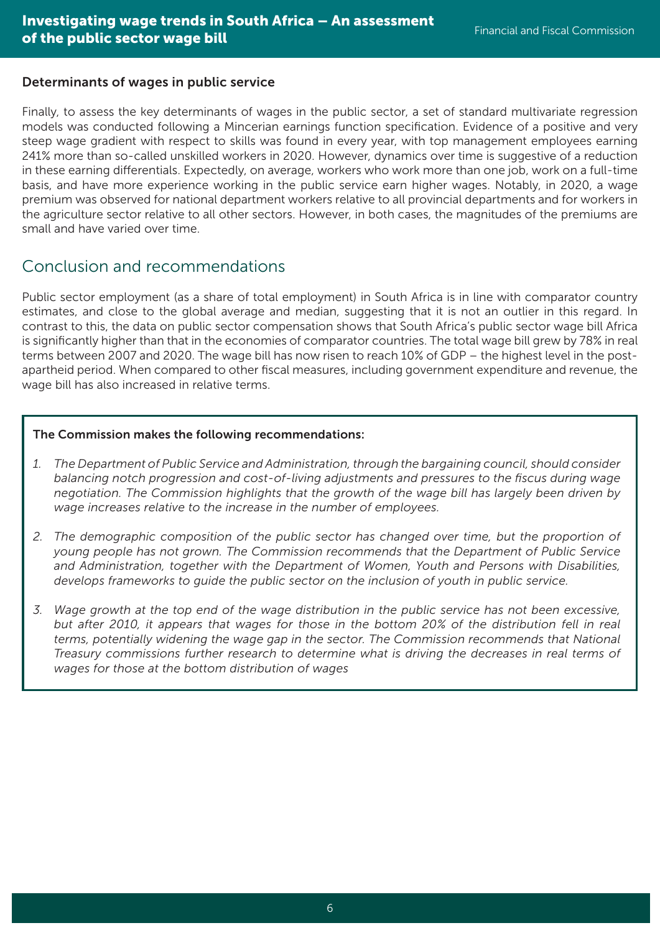#### Determinants of wages in public service

Finally, to assess the key determinants of wages in the public sector, a set of standard multivariate regression models was conducted following a Mincerian earnings function specification. Evidence of a positive and very steep wage gradient with respect to skills was found in every year, with top management employees earning 241% more than so-called unskilled workers in 2020. However, dynamics over time is suggestive of a reduction in these earning differentials. Expectedly, on average, workers who work more than one job, work on a full-time basis, and have more experience working in the public service earn higher wages. Notably, in 2020, a wage premium was observed for national department workers relative to all provincial departments and for workers in the agriculture sector relative to all other sectors. However, in both cases, the magnitudes of the premiums are small and have varied over time.

## Conclusion and recommendations

Public sector employment (as a share of total employment) in South Africa is in line with comparator country estimates, and close to the global average and median, suggesting that it is not an outlier in this regard. In contrast to this, the data on public sector compensation shows that South Africa's public sector wage bill Africa is significantly higher than that in the economies of comparator countries. The total wage bill grew by 78% in real terms between 2007 and 2020. The wage bill has now risen to reach 10% of GDP – the highest level in the postapartheid period. When compared to other fiscal measures, including government expenditure and revenue, the wage bill has also increased in relative terms.

#### The Commission makes the following recommendations:

- *1. The Department of Public Service and Administration, through the bargaining council, should consider balancing notch progression and cost-of-living adjustments and pressures to the fiscus during wage negotiation. The Commission highlights that the growth of the wage bill has largely been driven by wage increases relative to the increase in the number of employees.*
- *2. The demographic composition of the public sector has changed over time, but the proportion of young people has not grown. The Commission recommends that the Department of Public Service and Administration, together with the Department of Women, Youth and Persons with Disabilities, develops frameworks to guide the public sector on the inclusion of youth in public service.*
- *3. Wage growth at the top end of the wage distribution in the public service has not been excessive, but after 2010, it appears that wages for those in the bottom 20% of the distribution fell in real terms, potentially widening the wage gap in the sector. The Commission recommends that National Treasury commissions further research to determine what is driving the decreases in real terms of wages for those at the bottom distribution of wages*